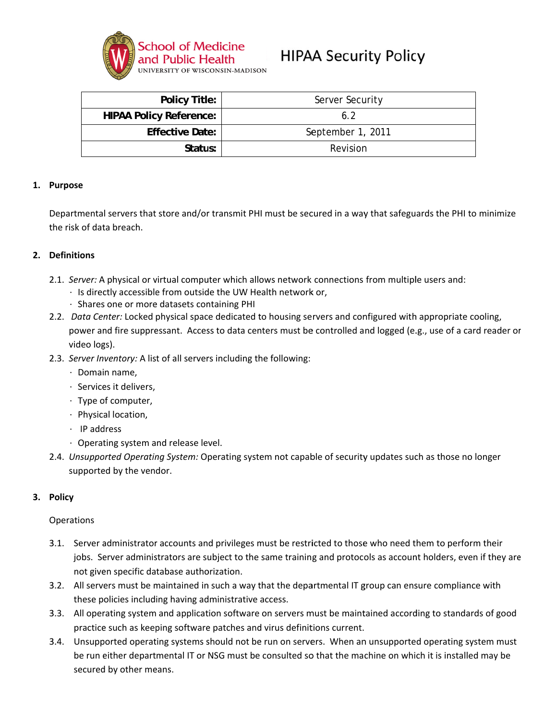

# **HIPAA Security Policy**

| <b>Policy Title:</b>           | Server Security   |
|--------------------------------|-------------------|
| <b>HIPAA Policy Reference:</b> | 6.2               |
| <b>Effective Date:</b>         | September 1, 2011 |
| Status:                        | Revision          |

#### 1. Purpose

Departmental servers that store and/or transmit PHI must be secured in a way that safeguards the PHI to minimize the risk of data breach.

# 2. Definitions

- 2.1. Server: A physical or virtual computer which allows network connections from multiple users and:
	- · Is directly accessible from outside the UW Health network or,
	- · Shares one or more datasets containing PHI
- 2.2. Data Center: Locked physical space dedicated to housing servers and configured with appropriate cooling, power and fire suppressant. Access to data centers must be controlled and logged (e.g., use of a card reader or video logs).
- 2.3. Server Inventory: A list of all servers including the following:
	- $\cdot$  Domain name.
	- · Services it delivers.
	- · Type of computer,
	- · Physical location,
	- $\cdot$  IP address
	- · Operating system and release level.
- 2.4. Unsupported Operating System: Operating system not capable of security updates such as those no longer supported by the vendor.

#### 3. Policy

#### Operations

- 3.1. Server administrator accounts and privileges must be restricted to those who need them to perform their jobs. Server administrators are subject to the same training and protocols as account holders, even if they are not given specific database authorization.
- 3.2. All servers must be maintained in such a way that the departmental IT group can ensure compliance with these policies including having administrative access.
- 3.3. All operating system and application software on servers must be maintained according to standards of good practice such as keeping software patches and virus definitions current.
- 3.4. Unsupported operating systems should not be run on servers. When an unsupported operating system must be run either departmental IT or NSG must be consulted so that the machine on which it is installed may be secured by other means.